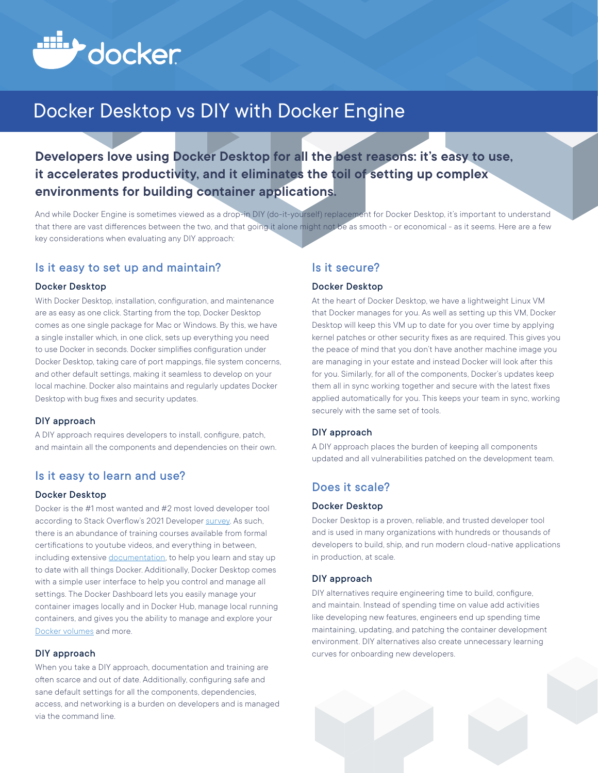

# Docker Desktop vs DIY with Docker Engine

## **Developers love using Docker Desktop for all the best reasons: it's easy to use, it accelerates productivity, and it eliminates the toil of setting up complex environments for building container applications.**

And while Docker Engine is sometimes viewed as a drop-in DIY (do-it-yourself) replacement for Docker Desktop, it's important to understand that there are vast differences between the two, and that going it alone might not be as smooth - or economical - as it seems. Here are a few key considerations when evaluating any DIY approach:

#### Is it easy to set up and maintain?

#### Docker Desktop

With Docker Desktop, installation, configuration, and maintenance are as easy as one click. Starting from the top, Docker Desktop comes as one single package for Mac or Windows. By this, we have a single installer which, in one click, sets up everything you need to use Docker in seconds. Docker simplifies configuration under Docker Desktop, taking care of port mappings, file system concerns, and other default settings, making it seamless to develop on your local machine. Docker also maintains and regularly updates Docker Desktop with bug fixes and security updates.

#### DIY approach

A DIY approach requires developers to install, configure, patch, and maintain all the components and dependencies on their own.

#### Is it easy to learn and use?

#### Docker Desktop

Docker is the #1 most wanted and #2 most loved developer tool according to Stack Overflow's 2021 Developer [survey](https://insights.stackoverflow.com/survey/2021#section-most-loved-dreaded-and-wanted-other-tools). As such, there is an abundance of training courses available from formal certifications to youtube videos, and everything in between, including extensive [documentation](https://docs.docker.com/), to help you learn and stay up to date with all things Docker. Additionally, Docker Desktop comes with a simple user interface to help you control and manage all settings. The Docker Dashboard lets you easily manage your container images locally and in Docker Hub, manage local running containers, and gives you the ability to manage and explore your [Docker volumes](https://www.docker.com/blog/improved-volume-management-docker-dev-environments-and-more-in-desktop-3-5/) and more.

#### DIY approach

When you take a DIY approach, documentation and training are often scarce and out of date. Additionally, configuring safe and sane default settings for all the components, dependencies, access, and networking is a burden on developers and is managed via the command line.

#### Is it secure?

#### Docker Desktop

At the heart of Docker Desktop, we have a lightweight Linux VM that Docker manages for you. As well as setting up this VM, Docker Desktop will keep this VM up to date for you over time by applying kernel patches or other security fixes as are required. This gives you the peace of mind that you don't have another machine image you are managing in your estate and instead Docker will look after this for you. Similarly, for all of the components, Docker's updates keep them all in sync working together and secure with the latest fixes applied automatically for you. This keeps your team in sync, working securely with the same set of tools.

#### DIY approach

A DIY approach places the burden of keeping all components updated and all vulnerabilities patched on the development team.

#### Does it scale?

#### Docker Desktop

Docker Desktop is a proven, reliable, and trusted developer tool and is used in many organizations with hundreds or thousands of developers to build, ship, and run modern cloud-native applications in production, at scale.

#### DIY approach

DIY alternatives require engineering time to build, configure, and maintain. Instead of spending time on value add activities like developing new features, engineers end up spending time maintaining, updating, and patching the container development environment. DIY alternatives also create unnecessary learning curves for onboarding new developers.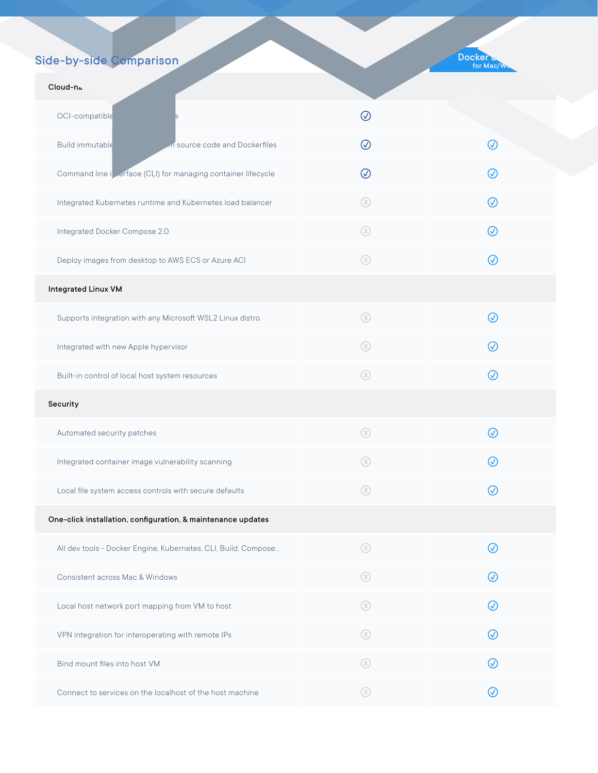## Side-by-side Comparison

DIY Docker Engine on Linux VM on Mac/Win

| Cloud-na.                                                      |             |           |
|----------------------------------------------------------------|-------------|-----------|
| OCI-compatible                                                 | $\odot$     |           |
| Build immutable<br>in source code and Dockerfiles              | $\oslash$   | $\oslash$ |
| Command line inverface (CLI) for managing container lifecycle  | $\odot$     | $\oslash$ |
| Integrated Kubernetes runtime and Kubernetes load balancer     | $\circledR$ | ∞         |
| Integrated Docker Compose 2.0                                  | $\circledR$ | $\oslash$ |
| Deploy images from desktop to AWS ECS or Azure ACI             | $\circledR$ | $\oslash$ |
| <b>Integrated Linux VM</b>                                     |             |           |
| Supports integration with any Microsoft WSL2 Linux distro      | $\circledR$ | $\oslash$ |
| Integrated with new Apple hypervisor                           | $\circledR$ | $\oslash$ |
| Built-in control of local host system resources                | $\circledR$ | $\oslash$ |
| Security                                                       |             |           |
| Automated security patches                                     | $\circledR$ | $\oslash$ |
| Integrated container image vulnerability scanning              | $\circledR$ | $\oslash$ |
| Local file system access controls with secure defaults         | ∞           | $\oslash$ |
| One-click installation, configuration, & maintenance updates   |             |           |
| All dev tools - Docker Engine, Kubernetes, CLI, Build, Compose | $\circledR$ | ∞         |
| Consistent across Mac & Windows                                | $\circledR$ | $\oslash$ |
| Local host network port mapping from VM to host                | $\circledR$ | $\oslash$ |
| VPN integration for interoperating with remote IPs             | $\circledR$ | $\oslash$ |
| Bind mount files into host VM                                  | $\circledR$ | $\oslash$ |
| Connect to services on the localhost of the host machine       | $\circledR$ | $\oslash$ |